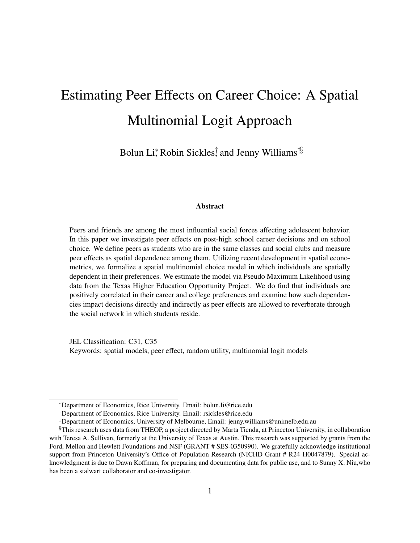# Estimating Peer Effects on Career Choice: A Spatial Multinomial Logit Approach

Bolun Li,\* Robin Sickles, † and Jenny Williams<sup>‡§</sup>

#### Abstract

Peers and friends are among the most influential social forces affecting adolescent behavior. In this paper we investigate peer effects on post-high school career decisions and on school choice. We define peers as students who are in the same classes and social clubs and measure peer effects as spatial dependence among them. Utilizing recent development in spatial econometrics, we formalize a spatial multinomial choice model in which individuals are spatially dependent in their preferences. We estimate the model via Pseudo Maximum Likelihood using data from the Texas Higher Education Opportunity Project. We do find that individuals are positively correlated in their career and college preferences and examine how such dependencies impact decisions directly and indirectly as peer effects are allowed to reverberate through the social network in which students reside.

JEL Classification: C31, C35 Keywords: spatial models, peer effect, random utility, multinomial logit models

<sup>∗</sup>Department of Economics, Rice University. Email: bolun.li@rice.edu

<sup>†</sup>Department of Economics, Rice University. Email: rsickles@rice.edu

<sup>‡</sup>Department of Economics, University of Melbourne, Email: jenny.williams@unimelb.edu.au

<sup>§</sup>This research uses data from THEOP, a project directed by Marta Tienda, at Princeton University, in collaboration with Teresa A. Sullivan, formerly at the University of Texas at Austin. This research was supported by grants from the Ford, Mellon and Hewlett Foundations and NSF (GRANT # SES-0350990). We gratefully acknowledge institutional support from Princeton University's Office of Population Research (NICHD Grant # R24 H0047879). Special acknowledgment is due to Dawn Koffman, for preparing and documenting data for public use, and to Sunny X. Niu,who has been a stalwart collaborator and co-investigator.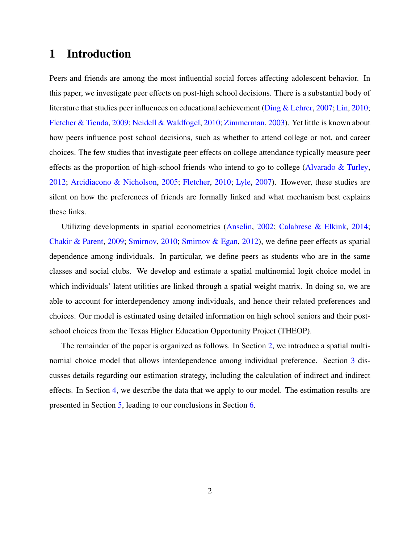## 1 Introduction

Peers and friends are among the most influential social forces affecting adolescent behavior. In this paper, we investigate peer effects on post-high school decisions. There is a substantial body of literature that studies peer influences on educational achievement [\(Ding & Lehrer,](#page-15-0) [2007;](#page-15-0) [Lin,](#page-16-0) [2010;](#page-16-0) [Fletcher & Tienda,](#page-15-1) [2009;](#page-15-1) [Neidell & Waldfogel,](#page-16-1) [2010;](#page-16-1) [Zimmerman,](#page-16-2) [2003\)](#page-16-2). Yet little is known about how peers influence post school decisions, such as whether to attend college or not, and career choices. The few studies that investigate peer effects on college attendance typically measure peer effects as the proportion of high-school friends who intend to go to college (Alvarado  $\&$  Turley, [2012;](#page-15-2) [Arcidiacono & Nicholson,](#page-15-3) [2005;](#page-15-3) [Fletcher,](#page-15-4) [2010;](#page-15-4) [Lyle,](#page-16-3) [2007\)](#page-16-3). However, these studies are silent on how the preferences of friends are formally linked and what mechanism best explains these links.

Utilizing developments in spatial econometrics [\(Anselin,](#page-15-5) [2002;](#page-15-5) [Calabrese & Elkink,](#page-15-6) [2014;](#page-15-6) [Chakir & Parent,](#page-15-7) [2009;](#page-15-7) [Smirnov,](#page-16-4) [2010;](#page-16-4) [Smirnov & Egan,](#page-16-5) [2012\)](#page-16-5), we define peer effects as spatial dependence among individuals. In particular, we define peers as students who are in the same classes and social clubs. We develop and estimate a spatial multinomial logit choice model in which individuals' latent utilities are linked through a spatial weight matrix. In doing so, we are able to account for interdependency among individuals, and hence their related preferences and choices. Our model is estimated using detailed information on high school seniors and their postschool choices from the Texas Higher Education Opportunity Project (THEOP).

The remainder of the paper is organized as follows. In Section [2,](#page-2-0) we introduce a spatial multinomial choice model that allows interdependence among individual preference. Section [3](#page-4-0) discusses details regarding our estimation strategy, including the calculation of indirect and indirect effects. In Section [4,](#page-7-0) we describe the data that we apply to our model. The estimation results are presented in Section [5,](#page-8-0) leading to our conclusions in Section [6.](#page-14-0)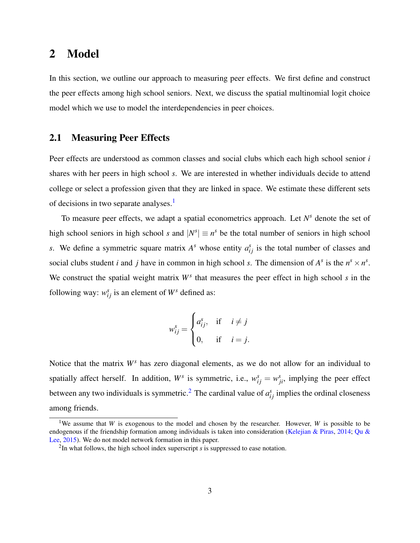## <span id="page-2-0"></span>2 Model

In this section, we outline our approach to measuring peer effects. We first define and construct the peer effects among high school seniors. Next, we discuss the spatial multinomial logit choice model which we use to model the interdependencies in peer choices.

#### 2.1 Measuring Peer Effects

Peer effects are understood as common classes and social clubs which each high school senior *i* shares with her peers in high school *s*. We are interested in whether individuals decide to attend college or select a profession given that they are linked in space. We estimate these different sets of decisions in two separate analyses.<sup>[1](#page-2-1)</sup>

To measure peer effects, we adapt a spatial econometrics approach. Let *N <sup>s</sup>* denote the set of high school seniors in high school *s* and  $|N^s| \equiv n^s$  be the total number of seniors in high school *s*. We define a symmetric square matrix  $A^s$  whose entity  $a_{ij}^s$  is the total number of classes and social clubs student *i* and *j* have in common in high school *s*. The dimension of  $A^s$  is the  $n^s \times n^s$ . We construct the spatial weight matrix *W<sup>s</sup>* that measures the peer effect in high school *s* in the following way:  $w_{ij}^s$  is an element of  $W^s$  defined as:

$$
w_{ij}^s = \begin{cases} a_{ij}^s, & \text{if } i \neq j \\ 0, & \text{if } i = j. \end{cases}
$$

Notice that the matrix *W<sup>s</sup>* has zero diagonal elements, as we do not allow for an individual to spatially affect herself. In addition,  $W^s$  is symmetric, i.e.,  $w_{ij}^s = w_{ji}^s$ , implying the peer effect between any two individuals is symmetric.<sup>[2](#page-2-2)</sup> The cardinal value of  $a_{ij}^s$  implies the ordinal closeness among friends.

<span id="page-2-1"></span><sup>&</sup>lt;sup>1</sup>We assume that *W* is exogenous to the model and chosen by the researcher. However, *W* is possible to be endogenous if the friendship formation among individuals is taken into consideration [\(Kelejian & Piras,](#page-15-8) [2014;](#page-15-8) [Qu &](#page-16-6) [Lee,](#page-16-6) [2015\)](#page-16-6). We do not model network formation in this paper.

<span id="page-2-2"></span><sup>2</sup> In what follows, the high school index superscript *s* is suppressed to ease notation.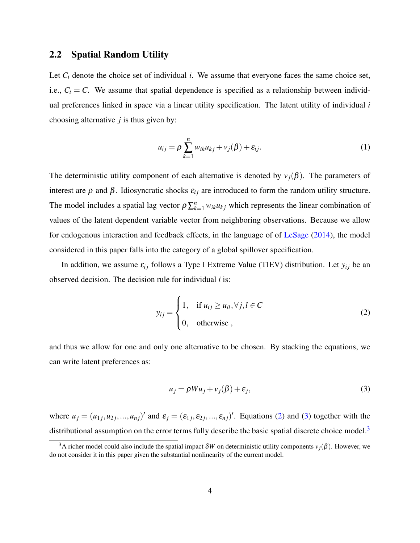#### <span id="page-3-3"></span>2.2 Spatial Random Utility

Let  $C_i$  denote the choice set of individual *i*. We assume that everyone faces the same choice set, i.e.,  $C_i = C$ . We assume that spatial dependence is specified as a relationship between individual preferences linked in space via a linear utility specification. The latent utility of individual *i* choosing alternative *j* is thus given by:

$$
u_{ij} = \rho \sum_{k=1}^{n} w_{ik} u_{kj} + v_j(\beta) + \varepsilon_{ij}.
$$
 (1)

The deterministic utility component of each alternative is denoted by  $v_j(\beta)$ . The parameters of interest are  $\rho$  and  $\beta$ . Idiosyncratic shocks  $\varepsilon_{ij}$  are introduced to form the random utility structure. The model includes a spatial lag vector  $\rho \sum_{k=1}^{n} w_{ik} u_{kj}$  which represents the linear combination of values of the latent dependent variable vector from neighboring observations. Because we allow for endogenous interaction and feedback effects, in the language of of [LeSage](#page-15-9) [\(2014\)](#page-15-9), the model considered in this paper falls into the category of a global spillover specification.

In addition, we assume  $\varepsilon_{ij}$  follows a Type I Extreme Value (TIEV) distribution. Let  $y_{ij}$  be an observed decision. The decision rule for individual *i* is:

<span id="page-3-0"></span>
$$
y_{ij} = \begin{cases} 1, & \text{if } u_{ij} \ge u_{il}, \forall j, l \in C \\ 0, & \text{otherwise} \end{cases}
$$
 (2)

and thus we allow for one and only one alternative to be chosen. By stacking the equations, we can write latent preferences as:

<span id="page-3-1"></span>
$$
u_j = \rho W u_j + v_j(\beta) + \varepsilon_j,
$$
\n(3)

where  $u_j = (u_{1j}, u_{2j}, ..., u_{nj})'$  and  $\varepsilon_j = (\varepsilon_{1j}, \varepsilon_{2j}, ..., \varepsilon_{nj})'$ . Equations [\(2\)](#page-3-0) and [\(3\)](#page-3-1) together with the distributional assumption on the error terms fully describe the basic spatial discrete choice model.<sup>[3](#page-3-2)</sup>

<span id="page-3-2"></span><sup>&</sup>lt;sup>3</sup>A richer model could also include the spatial impact  $\delta W$  on deterministic utility components  $v_j(\beta)$ . However, we do not consider it in this paper given the substantial nonlinearity of the current model.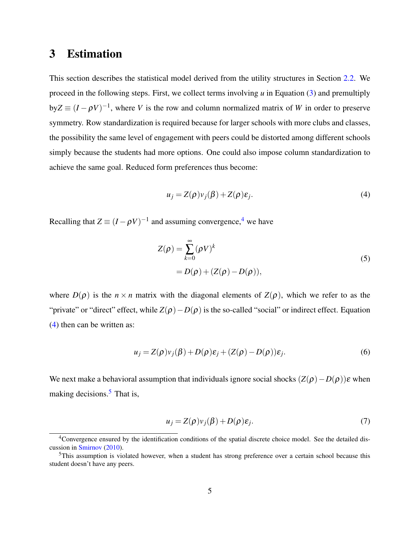## <span id="page-4-0"></span>3 Estimation

This section describes the statistical model derived from the utility structures in Section [2.2.](#page-3-3) We proceed in the following steps. First, we collect terms involving *u* in Equation [\(3\)](#page-3-1) and premultiply  $byZ \equiv (I - \rho V)^{-1}$ , where *V* is the row and column normalized matrix of *W* in order to preserve symmetry. Row standardization is required because for larger schools with more clubs and classes, the possibility the same level of engagement with peers could be distorted among different schools simply because the students had more options. One could also impose column standardization to achieve the same goal. Reduced form preferences thus become:

<span id="page-4-2"></span>
$$
u_j = Z(\rho)v_j(\beta) + Z(\rho)\varepsilon_j.
$$
\n(4)

Recalling that  $Z \equiv (I - \rho V)^{-1}$  and assuming convergence,<sup>[4](#page-4-1)</sup> we have

$$
Z(\rho) = \sum_{k=0}^{\infty} (\rho V)^k
$$
  
=  $D(\rho) + (Z(\rho) - D(\rho)),$  (5)

where  $D(\rho)$  is the  $n \times n$  matrix with the diagonal elements of  $Z(\rho)$ , which we refer to as the "private" or "direct" effect, while  $Z(\rho) - D(\rho)$  is the so-called "social" or indirect effect. Equation [\(4\)](#page-4-2) then can be written as:

$$
u_j = Z(\rho)v_j(\beta) + D(\rho)\varepsilon_j + (Z(\rho) - D(\rho))\varepsilon_j.
$$
\n(6)

We next make a behavioral assumption that individuals ignore social shocks  $(Z(\rho)-D(\rho))\varepsilon$  when making decisions. $<sup>5</sup>$  $<sup>5</sup>$  $<sup>5</sup>$  That is,</sup>

<span id="page-4-4"></span>
$$
u_j = Z(\rho)v_j(\beta) + D(\rho)\varepsilon_j.
$$
\n(7)

<span id="page-4-1"></span><sup>&</sup>lt;sup>4</sup>Convergence ensured by the identification conditions of the spatial discrete choice model. See the detailed discussion in [Smirnov](#page-16-4) [\(2010\)](#page-16-4).

<span id="page-4-3"></span><sup>5</sup>This assumption is violated however, when a student has strong preference over a certain school because this student doesn't have any peers.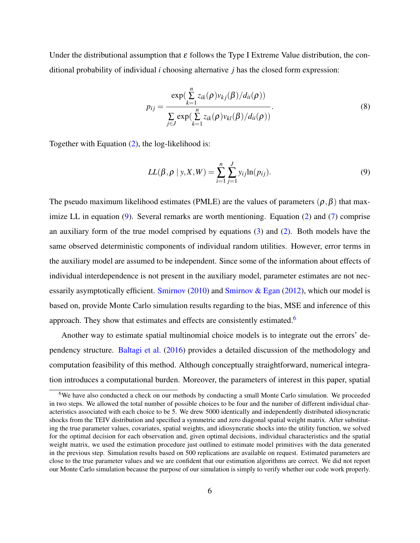Under the distributional assumption that  $\varepsilon$  follows the Type I Extreme Value distribution, the conditional probability of individual *i* choosing alternative *j* has the closed form expression:

$$
p_{ij} = \frac{\exp(\sum_{k=1}^{n} z_{ik}(\rho)v_{kj}(\beta)/d_{ii}(\rho))}{\sum_{j \in J} \exp(\sum_{k=1}^{n} z_{ik}(\rho)v_{kl}(\beta)/d_{ii}(\rho))}.
$$
\n(8)

Together with Equation [\(2\)](#page-3-0), the log-likelihood is:

<span id="page-5-0"></span>
$$
LL(\beta, \rho \mid y, X, W) = \sum_{i=1}^{n} \sum_{j=1}^{J} y_{ij} \ln(p_{ij}).
$$
\n(9)

The pseudo maximum likelihood estimates (PMLE) are the values of parameters  $(\rho, \beta)$  that maximize LL in equation  $(9)$ . Several remarks are worth mentioning. Equation  $(2)$  and  $(7)$  comprise an auxiliary form of the true model comprised by equations [\(3\)](#page-3-1) and [\(2\)](#page-3-0). Both models have the same observed deterministic components of individual random utilities. However, error terms in the auxiliary model are assumed to be independent. Since some of the information about effects of individual interdependence is not present in the auxiliary model, parameter estimates are not nec-essarily asymptotically efficient. [Smirnov](#page-16-4) [\(2010\)](#page-16-4) and Smirnov  $\&$  Egan [\(2012\)](#page-16-5), which our model is based on, provide Monte Carlo simulation results regarding to the bias, MSE and inference of this approach. They show that estimates and effects are consistently estimated.<sup>[6](#page-5-1)</sup>

Another way to estimate spatial multinomial choice models is to integrate out the errors' dependency structure. [Baltagi et al.](#page-15-10) [\(2016\)](#page-15-10) provides a detailed discussion of the methodology and computation feasibility of this method. Although conceptually straightforward, numerical integration introduces a computational burden. Moreover, the parameters of interest in this paper, spatial

<span id="page-5-1"></span><sup>&</sup>lt;sup>6</sup>We have also conducted a check on our methods by conducting a small Monte Carlo simulation. We proceeded in two steps. We allowed the total number of possible choices to be four and the number of different individual characteristics associated with each choice to be 5. We drew 5000 identically and independently distributed idiosyncratic shocks from the TEIV distribution and specified a symmetric and zero diagonal spatial weight matrix. After substituting the true parameter values, covariates, spatial weights, and idiosyncratic shocks into the utility function, we solved for the optimal decision for each observation and, given optimal decisions, individual characteristics and the spatial weight matrix, we used the estimation procedure just outlined to estimate model primitives with the data generated in the previous step. Simulation results based on 500 replications are available on request. Estimated parameters are close to the true parameter values and we are confident that our estimation algorithms are correct. We did not report our Monte Carlo simulation because the purpose of our simulation is simply to verify whether our code work properly.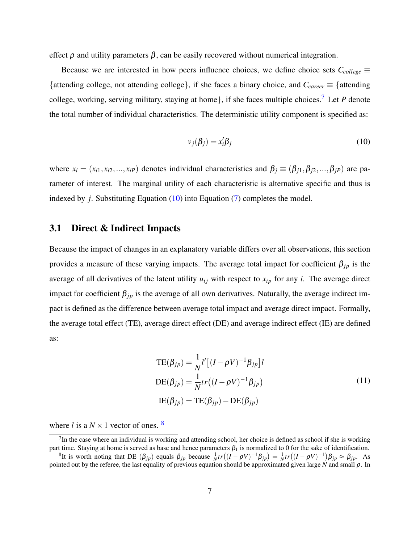effect  $\rho$  and utility parameters  $\beta$ , can be easily recovered without numerical integration.

Because we are interested in how peers influence choices, we define choice sets  $C_{\text{college}} \equiv$ {attending college, not attending college}, if she faces a binary choice, and *Ccareer* ≡ {attending college, working, serving military, staying at home}, if she faces multiple choices.<sup>[7](#page-6-0)</sup> Let *P* denote the total number of individual characteristics. The deterministic utility component is specified as:

<span id="page-6-1"></span>
$$
v_j(\beta_j) = x_i' \beta_j \tag{10}
$$

where  $x_i = (x_{i1}, x_{i2},...,x_{iP})$  denotes individual characteristics and  $\beta_j \equiv (\beta_{j1}, \beta_{j2},..., \beta_{jP})$  are parameter of interest. The marginal utility of each characteristic is alternative specific and thus is indexed by *j*. Substituting Equation [\(10\)](#page-6-1) into Equation [\(7\)](#page-4-4) completes the model.

#### 3.1 Direct & Indirect Impacts

Because the impact of changes in an explanatory variable differs over all observations, this section provides a measure of these varying impacts. The average total impact for coefficient  $\beta_{jp}$  is the average of all derivatives of the latent utility  $u_{ij}$  with respect to  $x_{ip}$  for any *i*. The average direct impact for coefficient  $\beta_{jp}$  is the average of all own derivatives. Naturally, the average indirect impact is defined as the difference between average total impact and average direct impact. Formally, the average total effect (TE), average direct effect (DE) and average indirect effect (IE) are defined as:

<span id="page-6-3"></span>
$$
TE(\beta_{jp}) = \frac{1}{N}l'\left[(I - \rho V)^{-1}\beta_{jp}\right]l
$$
  
\n
$$
DE(\beta_{jp}) = \frac{1}{N}tr\left((I - \rho V)^{-1}\beta_{jp}\right)
$$
  
\n
$$
IE(\beta_{jp}) = TE(\beta_{jp}) - DE(\beta_{jp})
$$
\n(11)

where *l* is a  $N \times 1$  vector of ones. <sup>[8](#page-6-2)</sup>

<span id="page-6-0"></span> $7$ In the case where an individual is working and attending school, her choice is defined as school if she is working part time. Staying at home is served as base and hence parameters  $\beta_1$  is normalized to 0 for the sake of identification.

<span id="page-6-2"></span><sup>&</sup>lt;sup>8</sup>It is worth noting that DE  $(\beta_{jp})$  equals  $\beta_{jp}$  because  $\frac{1}{N}tr((I - \rho V)^{-1}\beta_{jp}) = \frac{1}{N}tr((I - \rho V)^{-1})\beta_{jp} \approx \beta_{jp}$ . As pointed out by the referee, the last equality of previous equation should be approximated given large *N* and small ρ. In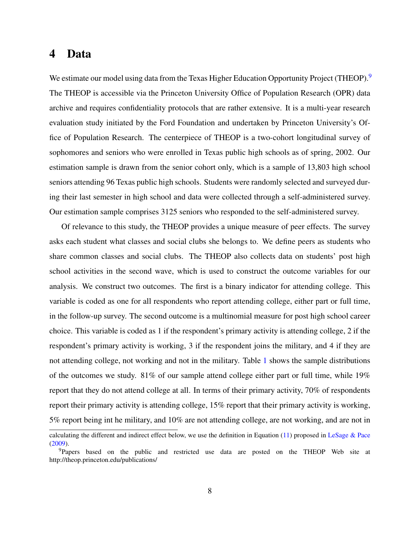## <span id="page-7-0"></span>4 Data

We estimate our model using data from the Texas Higher Education Opportunity Project (THEOP).<sup>[9](#page-7-1)</sup> The THEOP is accessible via the Princeton University Office of Population Research (OPR) data archive and requires confidentiality protocols that are rather extensive. It is a multi-year research evaluation study initiated by the Ford Foundation and undertaken by Princeton University's Office of Population Research. The centerpiece of THEOP is a two-cohort longitudinal survey of sophomores and seniors who were enrolled in Texas public high schools as of spring, 2002. Our estimation sample is drawn from the senior cohort only, which is a sample of 13,803 high school seniors attending 96 Texas public high schools. Students were randomly selected and surveyed during their last semester in high school and data were collected through a self-administered survey. Our estimation sample comprises 3125 seniors who responded to the self-administered survey.

Of relevance to this study, the THEOP provides a unique measure of peer effects. The survey asks each student what classes and social clubs she belongs to. We define peers as students who share common classes and social clubs. The THEOP also collects data on students' post high school activities in the second wave, which is used to construct the outcome variables for our analysis. We construct two outcomes. The first is a binary indicator for attending college. This variable is coded as one for all respondents who report attending college, either part or full time, in the follow-up survey. The second outcome is a multinomial measure for post high school career choice. This variable is coded as 1 if the respondent's primary activity is attending college, 2 if the respondent's primary activity is working, 3 if the respondent joins the military, and 4 if they are not attending college, not working and not in the military. Table [1](#page-17-0) shows the sample distributions of the outcomes we study.  $81\%$  of our sample attend college either part or full time, while  $19\%$ report that they do not attend college at all. In terms of their primary activity, 70% of respondents report their primary activity is attending college, 15% report that their primary activity is working, 5% report being int he military, and 10% are not attending college, are not working, and are not in

calculating the different and indirect effect below, we use the definition in Equation  $(11)$  proposed in [LeSage & Pace](#page-16-7) [\(2009\)](#page-16-7).

<span id="page-7-1"></span><sup>&</sup>lt;sup>9</sup>Papers based on the public and restricted use data are posted on the THEOP Web site at http://theop.princeton.edu/publications/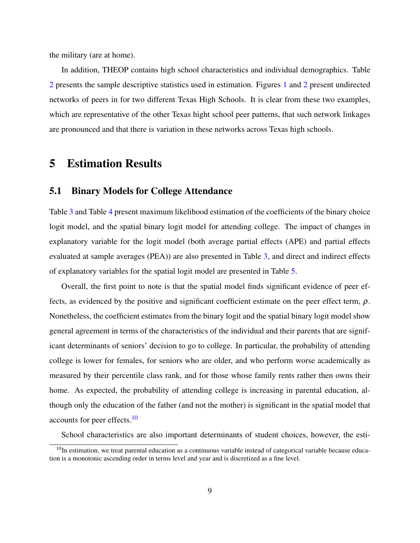the military (are at home).

In addition, THEOP contains high school characteristics and individual demographics. Table [2](#page-17-1) presents the sample descriptive statistics used in estimation. Figures [1](#page-18-0) and [2](#page-19-0) present undirected networks of peers in for two different Texas High Schools. It is clear from these two examples, which are representative of the other Texas hight school peer patterns, that such network linkages are pronounced and that there is variation in these networks across Texas high schools.

## <span id="page-8-0"></span>5 Estimation Results

#### 5.1 Binary Models for College Attendance

Table [3](#page-20-0) and Table [4](#page-21-0) present maximum likelihood estimation of the coefficients of the binary choice logit model, and the spatial binary logit model for attending college. The impact of changes in explanatory variable for the logit model (both average partial effects (APE) and partial effects evaluated at sample averages (PEA)) are also presented in Table [3,](#page-20-0) and direct and indirect effects of explanatory variables for the spatial logit model are presented in Table [5.](#page-22-0)

Overall, the first point to note is that the spatial model finds significant evidence of peer effects, as evidenced by the positive and significant coefficient estimate on the peer effect term,  $\rho$ . Nonetheless, the coefficient estimates from the binary logit and the spatial binary logit model show general agreement in terms of the characteristics of the individual and their parents that are significant determinants of seniors' decision to go to college. In particular, the probability of attending college is lower for females, for seniors who are older, and who perform worse academically as measured by their percentile class rank, and for those whose family rents rather then owns their home. As expected, the probability of attending college is increasing in parental education, although only the education of the father (and not the mother) is significant in the spatial model that accounts for peer effects.<sup>[10](#page-8-1)</sup>

<span id="page-8-1"></span>School characteristics are also important determinants of student choices, however, the esti-

 $10$ In estimation, we treat parental education as a continuous variable instead of categorical variable because education is a monotonic ascending order in terms level and year and is discretized as a fine level.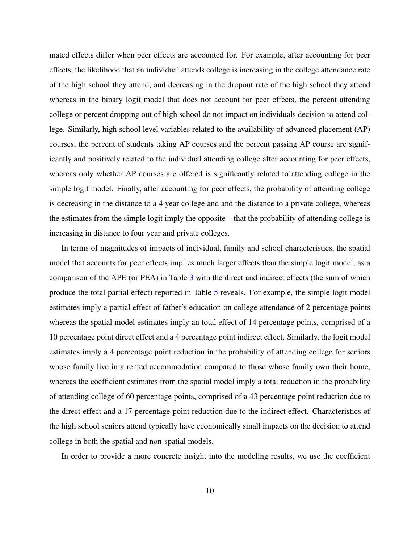mated effects differ when peer effects are accounted for. For example, after accounting for peer effects, the likelihood that an individual attends college is increasing in the college attendance rate of the high school they attend, and decreasing in the dropout rate of the high school they attend whereas in the binary logit model that does not account for peer effects, the percent attending college or percent dropping out of high school do not impact on individuals decision to attend college. Similarly, high school level variables related to the availability of advanced placement (AP) courses, the percent of students taking AP courses and the percent passing AP course are significantly and positively related to the individual attending college after accounting for peer effects, whereas only whether AP courses are offered is significantly related to attending college in the simple logit model. Finally, after accounting for peer effects, the probability of attending college is decreasing in the distance to a 4 year college and and the distance to a private college, whereas the estimates from the simple logit imply the opposite – that the probability of attending college is increasing in distance to four year and private colleges.

In terms of magnitudes of impacts of individual, family and school characteristics, the spatial model that accounts for peer effects implies much larger effects than the simple logit model, as a comparison of the APE (or PEA) in Table [3](#page-20-0) with the direct and indirect effects (the sum of which produce the total partial effect) reported in Table [5](#page-22-0) reveals. For example, the simple logit model estimates imply a partial effect of father's education on college attendance of 2 percentage points whereas the spatial model estimates imply an total effect of 14 percentage points, comprised of a 10 percentage point direct effect and a 4 percentage point indirect effect. Similarly, the logit model estimates imply a 4 percentage point reduction in the probability of attending college for seniors whose family live in a rented accommodation compared to those whose family own their home, whereas the coefficient estimates from the spatial model imply a total reduction in the probability of attending college of 60 percentage points, comprised of a 43 percentage point reduction due to the direct effect and a 17 percentage point reduction due to the indirect effect. Characteristics of the high school seniors attend typically have economically small impacts on the decision to attend college in both the spatial and non-spatial models.

In order to provide a more concrete insight into the modeling results, we use the coefficient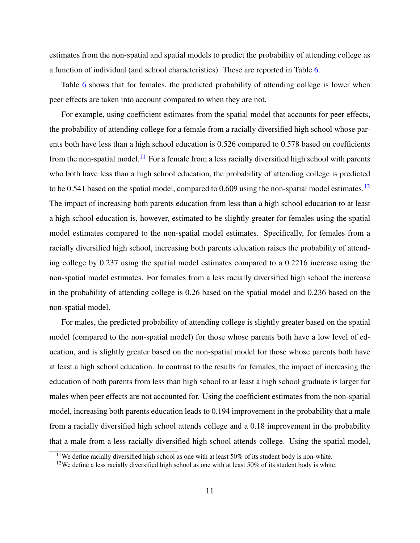estimates from the non-spatial and spatial models to predict the probability of attending college as a function of individual (and school characteristics). These are reported in Table [6.](#page-23-0)

Table [6](#page-23-0) shows that for females, the predicted probability of attending college is lower when peer effects are taken into account compared to when they are not.

For example, using coefficient estimates from the spatial model that accounts for peer effects, the probability of attending college for a female from a racially diversified high school whose parents both have less than a high school education is 0.526 compared to 0.578 based on coefficients from the non-spatial model.<sup>[11](#page-10-0)</sup> For a female from a less racially diversified high school with parents who both have less than a high school education, the probability of attending college is predicted to be 0.541 based on the spatial model, compared to 0.609 using the non-spatial model estimates.<sup>[12](#page-10-1)</sup> The impact of increasing both parents education from less than a high school education to at least a high school education is, however, estimated to be slightly greater for females using the spatial model estimates compared to the non-spatial model estimates. Specifically, for females from a racially diversified high school, increasing both parents education raises the probability of attending college by 0.237 using the spatial model estimates compared to a 0.2216 increase using the non-spatial model estimates. For females from a less racially diversified high school the increase in the probability of attending college is 0.26 based on the spatial model and 0.236 based on the non-spatial model.

For males, the predicted probability of attending college is slightly greater based on the spatial model (compared to the non-spatial model) for those whose parents both have a low level of education, and is slightly greater based on the non-spatial model for those whose parents both have at least a high school education. In contrast to the results for females, the impact of increasing the education of both parents from less than high school to at least a high school graduate is larger for males when peer effects are not accounted for. Using the coefficient estimates from the non-spatial model, increasing both parents education leads to 0.194 improvement in the probability that a male from a racially diversified high school attends college and a 0.18 improvement in the probability that a male from a less racially diversified high school attends college. Using the spatial model,

<span id="page-10-0"></span> $11$ We define racially diversified high school as one with at least 50% of its student body is non-white.

<span id="page-10-1"></span><sup>&</sup>lt;sup>12</sup>We define a less racially diversified high school as one with at least 50% of its student body is white.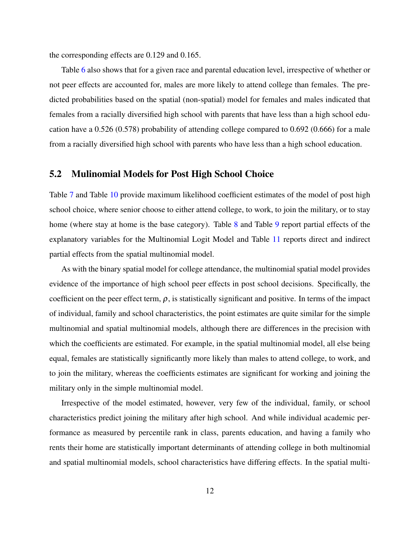the corresponding effects are 0.129 and 0.165.

Table [6](#page-23-0) also shows that for a given race and parental education level, irrespective of whether or not peer effects are accounted for, males are more likely to attend college than females. The predicted probabilities based on the spatial (non-spatial) model for females and males indicated that females from a racially diversified high school with parents that have less than a high school education have a 0.526 (0.578) probability of attending college compared to 0.692 (0.666) for a male from a racially diversified high school with parents who have less than a high school education.

#### 5.2 Mulinomial Models for Post High School Choice

Table [7](#page-24-0) and Table [10](#page-27-0) provide maximum likelihood coefficient estimates of the model of post high school choice, where senior choose to either attend college, to work, to join the military, or to stay home (where stay at home is the base category). Table [8](#page-25-0) and Table [9](#page-26-0) report partial effects of the explanatory variables for the Multinomial Logit Model and Table [11](#page-28-0) reports direct and indirect partial effects from the spatial multinomial model.

As with the binary spatial model for college attendance, the multinomial spatial model provides evidence of the importance of high school peer effects in post school decisions. Specifically, the coefficient on the peer effect term,  $\rho$ , is statistically significant and positive. In terms of the impact of individual, family and school characteristics, the point estimates are quite similar for the simple multinomial and spatial multinomial models, although there are differences in the precision with which the coefficients are estimated. For example, in the spatial multinomial model, all else being equal, females are statistically significantly more likely than males to attend college, to work, and to join the military, whereas the coefficients estimates are significant for working and joining the military only in the simple multinomial model.

Irrespective of the model estimated, however, very few of the individual, family, or school characteristics predict joining the military after high school. And while individual academic performance as measured by percentile rank in class, parents education, and having a family who rents their home are statistically important determinants of attending college in both multinomial and spatial multinomial models, school characteristics have differing effects. In the spatial multi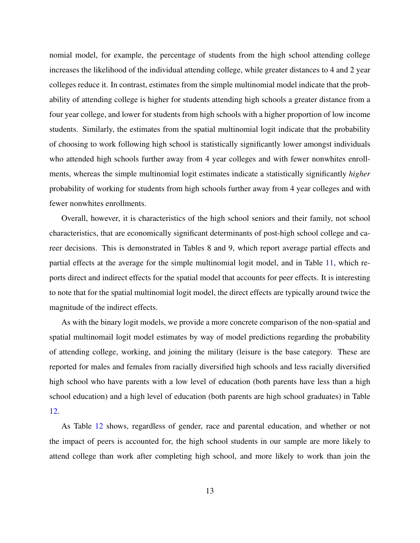nomial model, for example, the percentage of students from the high school attending college increases the likelihood of the individual attending college, while greater distances to 4 and 2 year colleges reduce it. In contrast, estimates from the simple multinomial model indicate that the probability of attending college is higher for students attending high schools a greater distance from a four year college, and lower for students from high schools with a higher proportion of low income students. Similarly, the estimates from the spatial multinomial logit indicate that the probability of choosing to work following high school is statistically significantly lower amongst individuals who attended high schools further away from 4 year colleges and with fewer nonwhites enrollments, whereas the simple multinomial logit estimates indicate a statistically significantly *higher* probability of working for students from high schools further away from 4 year colleges and with fewer nonwhites enrollments.

Overall, however, it is characteristics of the high school seniors and their family, not school characteristics, that are economically significant determinants of post-high school college and career decisions. This is demonstrated in Tables 8 and 9, which report average partial effects and partial effects at the average for the simple multinomial logit model, and in Table [11,](#page-28-0) which reports direct and indirect effects for the spatial model that accounts for peer effects. It is interesting to note that for the spatial multinomial logit model, the direct effects are typically around twice the magnitude of the indirect effects.

As with the binary logit models, we provide a more concrete comparison of the non-spatial and spatial multinomail logit model estimates by way of model predictions regarding the probability of attending college, working, and joining the military (leisure is the base category. These are reported for males and females from racially diversified high schools and less racially diversified high school who have parents with a low level of education (both parents have less than a high school education) and a high level of education (both parents are high school graduates) in Table [12.](#page-29-0)

As Table [12](#page-29-0) shows, regardless of gender, race and parental education, and whether or not the impact of peers is accounted for, the high school students in our sample are more likely to attend college than work after completing high school, and more likely to work than join the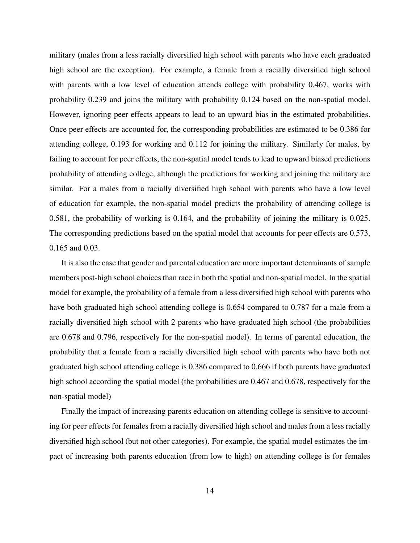military (males from a less racially diversified high school with parents who have each graduated high school are the exception). For example, a female from a racially diversified high school with parents with a low level of education attends college with probability 0.467, works with probability 0.239 and joins the military with probability 0.124 based on the non-spatial model. However, ignoring peer effects appears to lead to an upward bias in the estimated probabilities. Once peer effects are accounted for, the corresponding probabilities are estimated to be 0.386 for attending college, 0.193 for working and 0.112 for joining the military. Similarly for males, by failing to account for peer effects, the non-spatial model tends to lead to upward biased predictions probability of attending college, although the predictions for working and joining the military are similar. For a males from a racially diversified high school with parents who have a low level of education for example, the non-spatial model predicts the probability of attending college is 0.581, the probability of working is 0.164, and the probability of joining the military is 0.025. The corresponding predictions based on the spatial model that accounts for peer effects are 0.573, 0.165 and 0.03.

It is also the case that gender and parental education are more important determinants of sample members post-high school choices than race in both the spatial and non-spatial model. In the spatial model for example, the probability of a female from a less diversified high school with parents who have both graduated high school attending college is 0.654 compared to 0.787 for a male from a racially diversified high school with 2 parents who have graduated high school (the probabilities are 0.678 and 0.796, respectively for the non-spatial model). In terms of parental education, the probability that a female from a racially diversified high school with parents who have both not graduated high school attending college is 0.386 compared to 0.666 if both parents have graduated high school according the spatial model (the probabilities are 0.467 and 0.678, respectively for the non-spatial model)

Finally the impact of increasing parents education on attending college is sensitive to accounting for peer effects for females from a racially diversified high school and males from a less racially diversified high school (but not other categories). For example, the spatial model estimates the impact of increasing both parents education (from low to high) on attending college is for females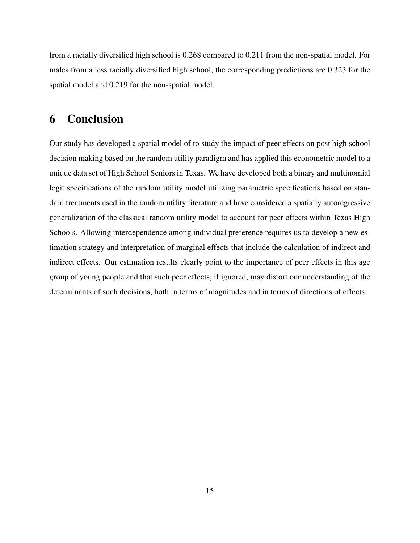from a racially diversified high school is 0.268 compared to 0.211 from the non-spatial model. For males from a less racially diversified high school, the corresponding predictions are 0.323 for the spatial model and 0.219 for the non-spatial model.

# <span id="page-14-0"></span>6 Conclusion

Our study has developed a spatial model of to study the impact of peer effects on post high school decision making based on the random utility paradigm and has applied this econometric model to a unique data set of High School Seniors in Texas. We have developed both a binary and multinomial logit specifications of the random utility model utilizing parametric specifications based on standard treatments used in the random utility literature and have considered a spatially autoregressive generalization of the classical random utility model to account for peer effects within Texas High Schools. Allowing interdependence among individual preference requires us to develop a new estimation strategy and interpretation of marginal effects that include the calculation of indirect and indirect effects. Our estimation results clearly point to the importance of peer effects in this age group of young people and that such peer effects, if ignored, may distort our understanding of the determinants of such decisions, both in terms of magnitudes and in terms of directions of effects.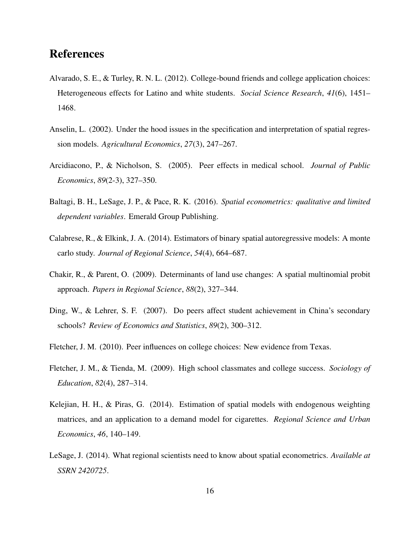## References

- <span id="page-15-2"></span>Alvarado, S. E., & Turley, R. N. L. (2012). College-bound friends and college application choices: Heterogeneous effects for Latino and white students. *Social Science Research*, *41*(6), 1451– 1468.
- <span id="page-15-5"></span>Anselin, L. (2002). Under the hood issues in the specification and interpretation of spatial regression models. *Agricultural Economics*, *27*(3), 247–267.
- <span id="page-15-3"></span>Arcidiacono, P., & Nicholson, S. (2005). Peer effects in medical school. *Journal of Public Economics*, *89*(2-3), 327–350.
- <span id="page-15-10"></span>Baltagi, B. H., LeSage, J. P., & Pace, R. K. (2016). *Spatial econometrics: qualitative and limited dependent variables*. Emerald Group Publishing.
- <span id="page-15-6"></span>Calabrese, R., & Elkink, J. A. (2014). Estimators of binary spatial autoregressive models: A monte carlo study. *Journal of Regional Science*, *54*(4), 664–687.
- <span id="page-15-7"></span>Chakir, R., & Parent, O. (2009). Determinants of land use changes: A spatial multinomial probit approach. *Papers in Regional Science*, *88*(2), 327–344.
- <span id="page-15-0"></span>Ding, W., & Lehrer, S. F. (2007). Do peers affect student achievement in China's secondary schools? *Review of Economics and Statistics*, *89*(2), 300–312.
- <span id="page-15-4"></span>Fletcher, J. M. (2010). Peer influences on college choices: New evidence from Texas.
- <span id="page-15-1"></span>Fletcher, J. M., & Tienda, M. (2009). High school classmates and college success. *Sociology of Education*, *82*(4), 287–314.
- <span id="page-15-8"></span>Kelejian, H. H., & Piras, G. (2014). Estimation of spatial models with endogenous weighting matrices, and an application to a demand model for cigarettes. *Regional Science and Urban Economics*, *46*, 140–149.
- <span id="page-15-9"></span>LeSage, J. (2014). What regional scientists need to know about spatial econometrics. *Available at SSRN 2420725*.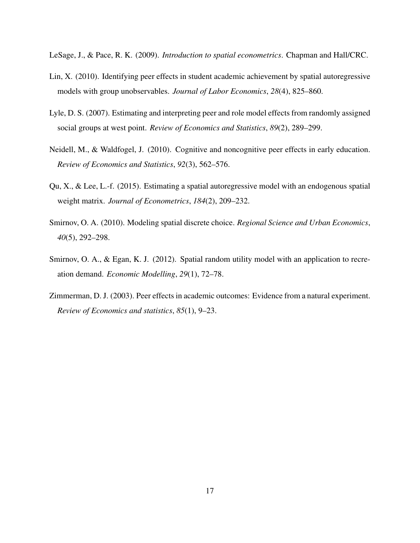<span id="page-16-7"></span>LeSage, J., & Pace, R. K. (2009). *Introduction to spatial econometrics*. Chapman and Hall/CRC.

- <span id="page-16-0"></span>Lin, X. (2010). Identifying peer effects in student academic achievement by spatial autoregressive models with group unobservables. *Journal of Labor Economics*, *28*(4), 825–860.
- <span id="page-16-3"></span>Lyle, D. S. (2007). Estimating and interpreting peer and role model effects from randomly assigned social groups at west point. *Review of Economics and Statistics*, *89*(2), 289–299.
- <span id="page-16-1"></span>Neidell, M., & Waldfogel, J. (2010). Cognitive and noncognitive peer effects in early education. *Review of Economics and Statistics*, *92*(3), 562–576.
- <span id="page-16-6"></span>Qu, X., & Lee, L.-f. (2015). Estimating a spatial autoregressive model with an endogenous spatial weight matrix. *Journal of Econometrics*, *184*(2), 209–232.
- <span id="page-16-4"></span>Smirnov, O. A. (2010). Modeling spatial discrete choice. *Regional Science and Urban Economics*, *40*(5), 292–298.
- <span id="page-16-5"></span>Smirnov, O. A., & Egan, K. J. (2012). Spatial random utility model with an application to recreation demand. *Economic Modelling*, *29*(1), 72–78.
- <span id="page-16-2"></span>Zimmerman, D. J. (2003). Peer effects in academic outcomes: Evidence from a natural experiment. *Review of Economics and statistics*, *85*(1), 9–23.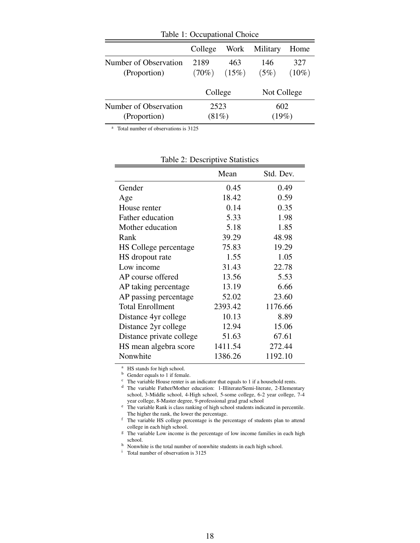| Table 1: Occupational Choice          |                  |              |              |                 |  |
|---------------------------------------|------------------|--------------|--------------|-----------------|--|
|                                       | College          | Work         | Military     | Home            |  |
| Number of Observation<br>(Proportion) | 2189<br>$(70\%)$ | 463<br>(15%) | 146<br>(5%)  | 327<br>$(10\%)$ |  |
|                                       | College          |              | Not College  |                 |  |
| Number of Observation<br>(Proportion) | 2523<br>(81%)    |              | 602<br>(19%) |                 |  |

<span id="page-17-0"></span>

<sup>a</sup> Total number of observations is 3125

|                          | Mean    | Std. Dev. |
|--------------------------|---------|-----------|
| Gender                   | 0.45    | 0.49      |
| Age                      | 18.42   | 0.59      |
| House renter             | 0.14    | 0.35      |
| Father education         | 5.33    | 1.98      |
| Mother education         | 5.18    | 1.85      |
| Rank                     | 39.29   | 48.98     |
| HS College percentage    | 75.83   | 19.29     |
| HS dropout rate          | 1.55    | 1.05      |
| Low income               | 31.43   | 22.78     |
| AP course offered        | 13.56   | 5.53      |
| AP taking percentage     | 13.19   | 6.66      |
| AP passing percentage    | 52.02   | 23.60     |
| <b>Total Enrollment</b>  | 2393.42 | 1176.66   |
| Distance 4yr college     | 10.13   | 8.89      |
| Distance 2yr college     | 12.94   | 15.06     |
| Distance private college | 51.63   | 67.61     |
| HS mean algebra score    | 1411.54 | 272.44    |
| Nonwhite                 | 1386.26 | 1192.10   |
|                          |         |           |

<span id="page-17-1"></span>

| Table 2: Descriptive Statistics |
|---------------------------------|
|---------------------------------|

<sup>a</sup> HS stands for high school.

<sup>b</sup> Gender equals to 1 if female.

 $\overrightarrow{c}$  The variable House renter is an indicator that equals to 1 if a household rents.

<sup>d</sup> The variable Father/Mother education: 1-Illiterate/Semi-literate, 2-Elementary school, 3-Middle school, 4-High school, 5-some college, 6-2 year college, 7-4 year college, 8-Master degree, 9-professional grad grad school

e The variable Rank is class ranking of high school students indicated in percentile. The higher the rank, the lower the percentage.

<sup>f</sup> The variable HS college percentage is the percentage of students plan to attend college in each high school.

<sup>g</sup> The variable Low income is the percentage of low income families in each high school.

<sup>h</sup> Nonwhite is the total number of nonwhite students in each high school.<br>
<sup>i</sup> Total number of observation is 3125

Total number of observation is 3125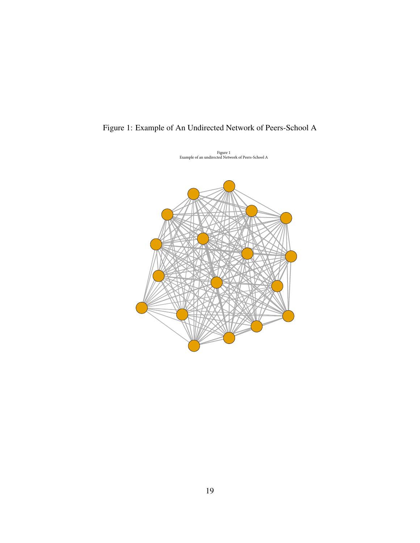<span id="page-18-0"></span>

Figure 1: Example of An Undirected Network of Peers-School A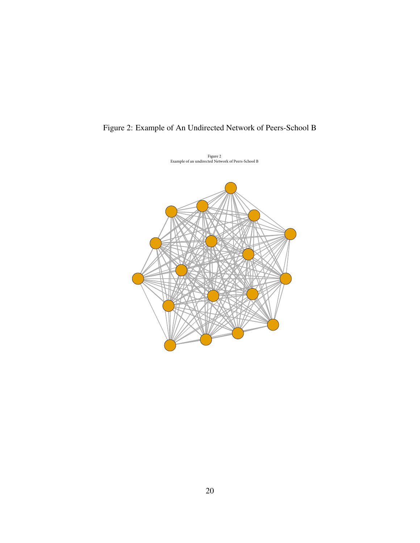

<span id="page-19-0"></span>Figure 2: Example of An Undirected Network of Peers-School B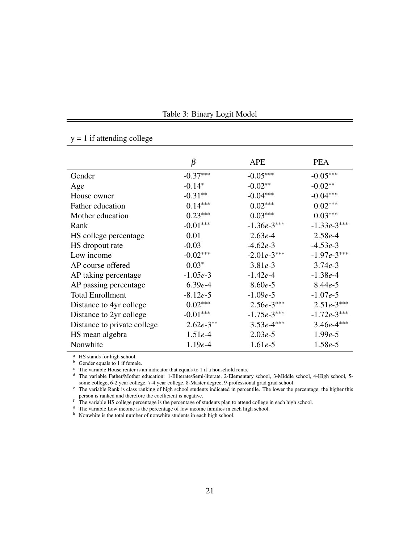|                             | β           | APE           | <b>PEA</b>    |
|-----------------------------|-------------|---------------|---------------|
| Gender                      | $-0.37***$  | $-0.05***$    | $-0.05***$    |
| Age                         | $-0.14*$    | $-0.02**$     | $-0.02**$     |
| House owner                 | $-0.31**$   | $-0.04***$    | $-0.04***$    |
| Father education            | $0.14***$   | $0.02***$     | $0.02***$     |
| Mother education            | $0.23***$   | $0.03***$     | $0.03***$     |
| Rank                        | $-0.01***$  | $-1.36e-3***$ | $-1.33e-3***$ |
| HS college percentage       | 0.01        | $2.63e-4$     | $2.58e-4$     |
| HS dropout rate             | $-0.03$     | $-4.62e-3$    | $-4.53e-3$    |
| Low income                  | $-0.02***$  | $-2.01e-3***$ | $-1.97e-3***$ |
| AP course offered           | $0.03*$     | $3.81e-3$     | $3.74e-3$     |
| AP taking percentage        | $-1.05e-3$  | $-1.42e-4$    | $-1.38e-4$    |
| AP passing percentage       | $6.39e-4$   | $8.60e-5$     | $8.44e-5$     |
| <b>Total Enrollment</b>     | $-8.12e-5$  | $-1.09e-5$    | $-1.07e-5$    |
| Distance to 4yr college     | $0.02***$   | $2.56e-3***$  | $2.51e-3***$  |
| Distance to 2yr college     | $-0.01***$  | $-1.75e-3***$ | $-1.72e-3***$ |
| Distance to private college | $2.62e-3**$ | $3.53e-4***$  | $3.46e-4***$  |
| HS mean algebra             | $1.51e-4$   | $2.03e-5$     | $1.99e-5$     |
| Nonwhite                    | $1.19e-4$   | $1.61e-5$     | $1.58e-5$     |

<span id="page-20-0"></span>Table 3: Binary Logit Model

<sup>a</sup> HS stands for high school.

<sup>b</sup> Gender equals to 1 if female.

 $y = 1$  if attending college

 $\cdot$  The variable House renter is an indicator that equals to 1 if a household rents.

<sup>d</sup> The variable Father/Mother education: 1-Illiterate/Semi-literate, 2-Elementary school, 3-Middle school, 4-High school, 5 some college, 6-2 year college, 7-4 year college, 8-Master degree, 9-professional grad grad school

<sup>e</sup> The variable Rank is class ranking of high school students indicated in percentile. The lower the percentage, the higher this person is ranked and therefore the coefficient is negative.

 $\rm{f}$  The variable HS college percentage is the percentage of students plan to attend college in each high school.

<sup>g</sup> The variable Low income is the percentage of low income families in each high school.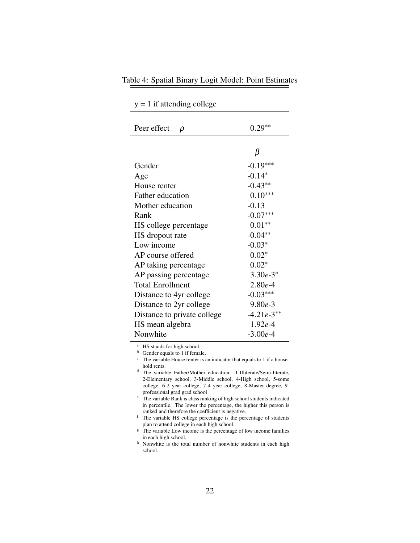| Peer effect<br>$\rho$       | $0.29**$     |
|-----------------------------|--------------|
|                             |              |
|                             | β            |
| Gender                      | $-0.19***$   |
| Age                         | $-0.14*$     |
| House renter                | $-0.43**$    |
| Father education            | $0.10***$    |
| Mother education            | $-0.13$      |
| Rank                        | $-0.07***$   |
| HS college percentage       | $0.01**$     |
| HS dropout rate             | $-0.04**$    |
| Low income                  | $-0.03*$     |
| AP course offered           | $0.02*$      |
| AP taking percentage        | $0.02*$      |
| AP passing percentage       | $3.30e-3*$   |
| <b>Total Enrollment</b>     | $2.80e-4$    |
| Distance to 4yr college     | $-0.03***$   |
| Distance to 2yr college     | $9.80e-3$    |
| Distance to private college | $-4.21e-3**$ |
| HS mean algebra             | $1.92e-4$    |
| Nonwhite                    | $-3.00e-4$   |

<span id="page-21-0"></span>Table 4: Spatial Binary Logit Model: Point Estimates

 $y = 1$  if attending college

<sup>a</sup> HS stands for high school.

<sup>b</sup> Gender equals to 1 if female.

 $\overrightarrow{c}$  The variable House renter is an indicator that equals to 1 if a household rents.

<sup>d</sup> The variable Father/Mother education: 1-Illiterate/Semi-literate, 2-Elementary school, 3-Middle school, 4-High school, 5-some college, 6-2 year college, 7-4 year college, 8-Master degree, 9 professional grad grad school

<sup>e</sup> The variable Rank is class ranking of high school students indicated in percentile. The lower the percentage, the higher this person is ranked and therefore the coefficient is negative.

<sup>f</sup> The variable HS college percentage is the percentage of students plan to attend college in each high school.

<sup>g</sup> The variable Low income is the percentage of low income families in each high school.

h Nonwhite is the total number of nonwhite students in each high school.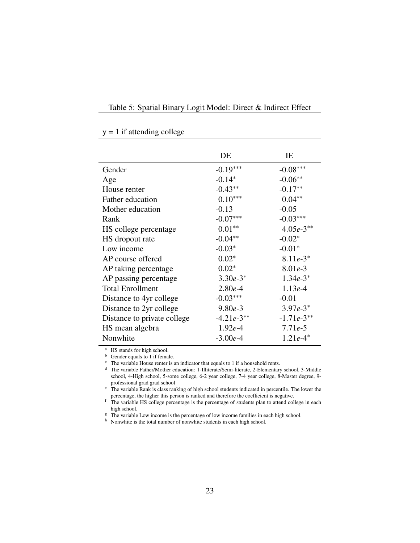<span id="page-22-0"></span>

| Table 5: Spatial Binary Logit Model: Direct & Indirect Effect |
|---------------------------------------------------------------|
|                                                               |
|                                                               |

|                             | DE           | ΙE           |
|-----------------------------|--------------|--------------|
| Gender                      | $-0.19***$   | $-0.08***$   |
| Age                         | $-0.14*$     | $-0.06**$    |
| House renter                | $-0.43**$    | $-0.17**$    |
| Father education            | $0.10***$    | $0.04**$     |
| Mother education            | $-0.13$      | $-0.05$      |
| Rank                        | $-0.07***$   | $-0.03***$   |
| HS college percentage       | $0.01**$     | $4.05e-3**$  |
| HS dropout rate             | $-0.04**$    | $-0.02*$     |
| Low income                  | $-0.03*$     | $-0.01*$     |
| AP course offered           | $0.02*$      | $8.11e-3*$   |
| AP taking percentage        | $0.02*$      | $8.01e-3$    |
| AP passing percentage       | $3.30e-3*$   | $1.34e-3*$   |
| <b>Total Enrollment</b>     | $2.80e-4$    | $1.13e-4$    |
| Distance to 4yr college     | $-0.03***$   | $-0.01$      |
| Distance to 2yr college     | $9.80e-3$    | $3.97e-3*$   |
| Distance to private college | $-4.21e-3**$ | $-1.71e-3**$ |
| HS mean algebra             | $1.92e-4$    | $7.71e-5$    |
| Nonwhite                    | $-3.00e-4$   | $1.21e-4*$   |

#### $y = 1$  if attending college

 $=$ 

 $\overline{a}$  HS stands for high school.

 $<sup>b</sup>$  Gender equals to 1 if female.</sup>

 $\cdot$  The variable House renter is an indicator that equals to 1 if a household rents.

<sup>d</sup> The variable Father/Mother education: 1-Illiterate/Semi-literate, 2-Elementary school, 3-Middle school, 4-High school, 5-some college, 6-2 year college, 7-4 year college, 8-Master degree, 9 professional grad grad school

<sup>e</sup> The variable Rank is class ranking of high school students indicated in percentile. The lower the percentage, the higher this person is ranked and therefore the coefficient is negative.

f The variable HS college percentage is the percentage of students plan to attend college in each high school.

<sup>g</sup> The variable Low income is the percentage of low income families in each high school.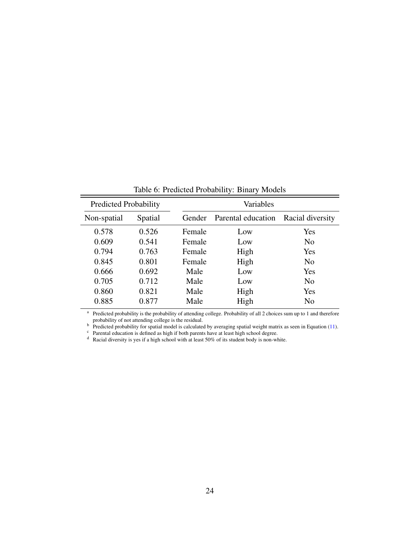| <b>Predicted Probability</b> |         | Variables |                    |                  |
|------------------------------|---------|-----------|--------------------|------------------|
| Non-spatial                  | Spatial | Gender    | Parental education | Racial diversity |
| 0.578                        | 0.526   | Female    | Low                | Yes              |
| 0.609                        | 0.541   | Female    | Low                | N <sub>0</sub>   |
| 0.794                        | 0.763   | Female    | High               | Yes              |
| 0.845                        | 0.801   | Female    | High               | N <sub>o</sub>   |
| 0.666                        | 0.692   | Male      | Low                | Yes              |
| 0.705                        | 0.712   | Male      | Low                | N <sub>0</sub>   |
| 0.860                        | 0.821   | Male      | High               | Yes              |
| 0.885                        | 0.877   | Male      | High               | N <sub>0</sub>   |

<span id="page-23-0"></span>Table 6: Predicted Probability: Binary Models

<sup>a</sup> Predicted probability is the probability of attending college. Probability of all 2 choices sum up to 1 and therefore probability of not attending college is the residual.

 $b$  Predicted probability for spatial model is calculated by averaging spatial weight matrix as seen in Equation [\(11\)](#page-6-3).

 $c$  Parental education is defined as high if both parents have at least high school degree.

<sup>d</sup> Racial diversity is yes if a high school with at least 50% of its student body is non-white.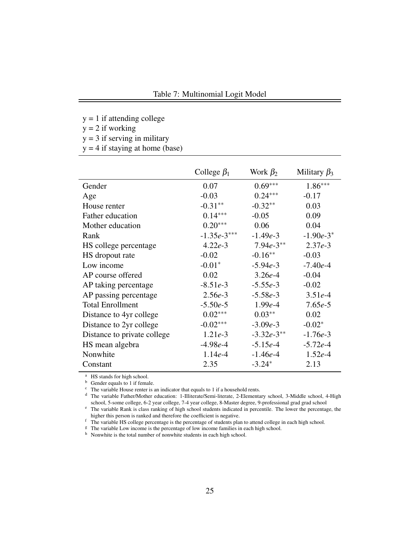<span id="page-24-0"></span> $y = 1$  if attending college

 $y = 2$  if working

 $y = 3$  if serving in military

 $y = 4$  if staying at home (base)

|                             | College $\beta_1$ | Work $\beta_2$ | Military $\beta_3$ |
|-----------------------------|-------------------|----------------|--------------------|
| Gender                      | 0.07              | $0.69***$      | $1.86***$          |
| Age                         | $-0.03$           | $0.24***$      | $-0.17$            |
| House renter                | $-0.31**$         | $-0.32**$      | 0.03               |
| Father education            | $0.14***$         | $-0.05$        | 0.09               |
| Mother education            | $0.20***$         | 0.06           | 0.04               |
| Rank                        | $-1.35e-3***$     | $-1.49e-3$     | $-1.90e-3*$        |
| HS college percentage       | $4.22e-3$         | $7.94e-3**$    | $2.37e-3$          |
| HS dropout rate             | $-0.02$           | $-0.16**$      | $-0.03$            |
| Low income                  | $-0.01*$          | $-5.94e-3$     | $-7.40e-4$         |
| AP course offered           | 0.02              | $3.26e-4$      | $-0.04$            |
| AP taking percentage        | $-8.51e-3$        | $-5.55e-3$     | $-0.02$            |
| AP passing percentage       | $2.56e-3$         | $-5.58e-3$     | $3.51e-4$          |
| <b>Total Enrollment</b>     | $-5.50e-5$        | $1.99e-4$      | $7.65e-5$          |
| Distance to 4yr college     | $0.02***$         | $0.03**$       | 0.02               |
| Distance to 2yr college     | $-0.02***$        | $-3.09e-3$     | $-0.02*$           |
| Distance to private college | $1.21e-3$         | $-3.32e-3**$   | $-1.76e-3$         |
| HS mean algebra             | $-4.98e-4$        | $-5.15e-4$     | $-5.72e-4$         |
| Nonwhite                    | $1.14e-4$         | $-1.46e-4$     | $1.52e-4$          |
| Constant                    | 2.35              | $-3.24*$       | 2.13               |

<sup>a</sup> HS stands for high school.

<sup>b</sup> Gender equals to 1 if female.

 $\overline{c}$  The variable House renter is an indicator that equals to 1 if a household rents.

<sup>d</sup> The variable Father/Mother education: 1-Illiterate/Semi-literate, 2-Elementary school, 3-Middle school, 4-High school, 5-some college, 6-2 year college, 7-4 year college, 8-Master degree, 9-professional grad grad school

<sup>e</sup> The variable Rank is class ranking of high school students indicated in percentile. The lower the percentage, the higher this person is ranked and therefore the coefficient is negative.

f The variable HS college percentage is the percentage of students plan to attend college in each high school.

<sup>g</sup> The variable Low income is the percentage of low income families in each high school.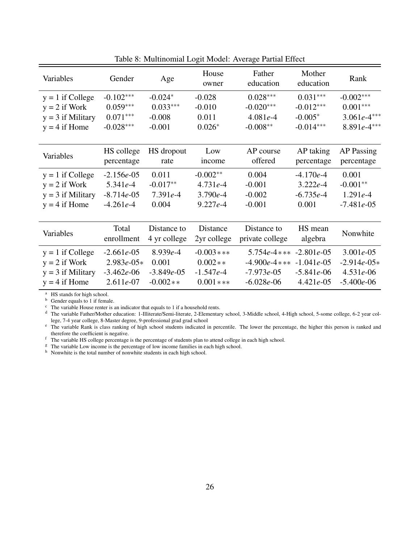| Variables                                                                       | Gender                                                      | Age                                               | House<br>owner                                          | Father<br>education                                                                   | Mother<br>education         | Rank                                                        |
|---------------------------------------------------------------------------------|-------------------------------------------------------------|---------------------------------------------------|---------------------------------------------------------|---------------------------------------------------------------------------------------|-----------------------------|-------------------------------------------------------------|
| $y = 1$ if College                                                              | $-0.102***$                                                 | $-0.024*$                                         | $-0.028$                                                | $0.028***$                                                                            | $0.031***$                  | $-0.002***$                                                 |
| $y = 2$ if Work                                                                 | $0.059***$                                                  | $0.033***$                                        | $-0.010$                                                | $-0.020***$                                                                           | $-0.012***$                 | $0.001***$                                                  |
| $y = 3$ if Military                                                             | $0.071***$                                                  | $-0.008$                                          | 0.011                                                   | $4.081e-4$                                                                            | $-0.005*$                   | $3.061e-4***$                                               |
| $y = 4$ if Home                                                                 | $-0.028***$                                                 | $-0.001$                                          | $0.026*$                                                | $-0.008**$                                                                            | $-0.014***$                 | $8.891e-4***$                                               |
| Variables                                                                       | HS college                                                  | HS dropout                                        | Low                                                     | AP course                                                                             | AP taking                   | <b>AP</b> Passing                                           |
|                                                                                 | percentage                                                  | rate                                              | income                                                  | offered                                                                               | percentage                  | percentage                                                  |
| $y = 1$ if College                                                              | $-2.156e-05$                                                | 0.011                                             | $-0.002**$                                              | 0.004                                                                                 | $-4.170e-4$                 | 0.001                                                       |
| $y = 2$ if Work                                                                 | $5.341e-4$                                                  | $-0.017**$                                        | $4.731e-4$                                              | $-0.001$                                                                              | $3.222e-4$                  | $-0.001**$                                                  |
| $y = 3$ if Military                                                             | $-8.714e-05$                                                | $7.391e-4$                                        | $3.790e-4$                                              | $-0.002$                                                                              | $-6.735e-4$                 | $1.291e-4$                                                  |
| $y = 4$ if Home                                                                 | $-4.261e-4$                                                 | 0.004                                             | $9.227e-4$                                              | $-0.001$                                                                              | 0.001                       | $-7.481e-05$                                                |
| Variables                                                                       | Total<br>enrollment                                         | Distance to<br>4 yr college                       | Distance<br>2yr college                                 | Distance to<br>private college                                                        | HS mean<br>algebra          | Nonwhite                                                    |
| $y = 1$ if College<br>$y = 2$ if Work<br>$y = 3$ if Military<br>$y = 4$ if Home | $-2.661e-05$<br>$2.983e-05*$<br>$-3.462e-06$<br>$2.611e-07$ | $8.939e-4$<br>0.001<br>$-3.849e-05$<br>$-0.002**$ | $-0.003$ ***<br>$0.002**$<br>$-1.547e-4$<br>$0.001$ *** | $5.754e-4*** -2.801e-05$<br>$-4.900e-4*** -1.041e-05$<br>$-7.973e-05$<br>$-6.028e-06$ | $-5.841e-06$<br>$4.421e-05$ | $3.001e-05$<br>$-2.914e-05*$<br>$4.531e-06$<br>$-5.400e-06$ |

<span id="page-25-0"></span>Table 8: Multinomial Logit Model: Average Partial Effect

<sup>a</sup> HS stands for high school.

 $<sup>b</sup>$  Gender equals to 1 if female.</sup>

 $\degree$  The variable House renter is an indicator that equals to 1 if a household rents.

<sup>d</sup> The variable Father/Mother education: 1-Illiterate/Semi-literate, 2-Elementary school, 3-Middle school, 4-High school, 5-some college, 6-2 year college, 7-4 year college, 8-Master degree, 9-professional grad grad school

e The variable Rank is class ranking of high school students indicated in percentile. The lower the percentage, the higher this person is ranked and therefore the coefficient is negative.

f The variable HS college percentage is the percentage of students plan to attend college in each high school.

<sup>g</sup> The variable Low income is the percentage of low income families in each high school.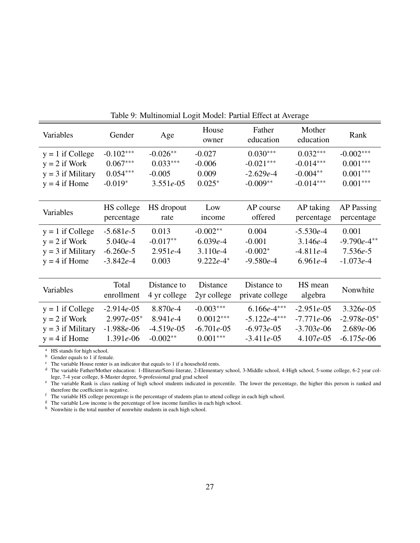| Variables           | Gender       | Age          | House<br>owner | Father<br>education | Mother<br>education | Rank              |
|---------------------|--------------|--------------|----------------|---------------------|---------------------|-------------------|
| $y = 1$ if College  | $-0.102***$  | $-0.026**$   | $-0.027$       | $0.030***$          | $0.032***$          | $-0.002***$       |
| $y = 2$ if Work     | $0.067***$   | $0.033***$   | $-0.006$       | $-0.021***$         | $-0.014***$         | $0.001***$        |
| $y = 3$ if Military | $0.054***$   | $-0.005$     | 0.009          | $-2.629e-4$         | $-0.004**$          | $0.001***$        |
| $y = 4$ if Home     | $-0.019*$    | $3.551e-05$  | $0.025*$       | $-0.009**$          | $-0.014***$         | $0.001***$        |
|                     |              |              |                |                     |                     |                   |
| Variables           | HS college   | HS dropout   | Low            | AP course           | AP taking           | <b>AP</b> Passing |
|                     | percentage   | rate         | income         | offered             | percentage          | percentage        |
| $y = 1$ if College  | $-5.681e-5$  | 0.013        | $-0.002**$     | 0.004               | $-5.530e-4$         | 0.001             |
| $y = 2$ if Work     | $5.040e-4$   | $-0.017**$   | $6.039e-4$     | $-0.001$            | $3.146e-4$          | $-9.790e-4**$     |
| $y = 3$ if Military | $-6.260e-5$  | $2.951e-4$   | $3.110e-4$     | $-0.002*$           | $-4.811e-4$         | $7.536e-5$        |
| $y = 4$ if Home     | $-3.842e-4$  | 0.003        | $9.222e-4*$    | $-9.580e-4$         | $6.961e-4$          | $-1.073e-4$       |
|                     |              |              |                |                     |                     |                   |
|                     | Total        | Distance to  | Distance       | Distance to         | HS mean             | Nonwhite          |
| Variables           | enrollment   | 4 yr college | 2yr college    | private college     | algebra             |                   |
| $y = 1$ if College  | $-2.914e-05$ | $8.870e-4$   | $-0.003***$    | $6.166e-4***$       | $-2.951e-05$        | $3.326e - 05$     |
| $y = 2$ if Work     | $2.997e-05*$ | $8.941e-4$   | $0.0012***$    | $-5.122e-4***$      | $-7.771e-06$        | $-2.978e-05*$     |
| $y = 3$ if Military | $-1.988e-06$ | $-4.519e-05$ | $-6.701e-05$   | $-6.973e-05$        | $-3.703e-06$        | $2.689e - 06$     |
| $y = 4$ if Home     | $1.391e-06$  | $-0.002**$   | $0.001***$     | $-3.411e-05$        | $4.107e-05$         | $-6.175e-06$      |

<span id="page-26-0"></span>Table 9: Multinomial Logit Model: Partial Effect at Average

<sup>a</sup> HS stands for high school.

<sup>b</sup> Gender equals to 1 if female.

 $\cdot$  The variable House renter is an indicator that equals to 1 if a household rents.

<sup>d</sup> The variable Father/Mother education: 1-Illiterate/Semi-literate, 2-Elementary school, 3-Middle school, 4-High school, 5-some college, 6-2 year college, 7-4 year college, 8-Master degree, 9-professional grad grad school

e The variable Rank is class ranking of high school students indicated in percentile. The lower the percentage, the higher this person is ranked and therefore the coefficient is negative.

<sup>f</sup> The variable HS college percentage is the percentage of students plan to attend college in each high school.

<sup>g</sup> The variable Low income is the percentage of low income families in each high school.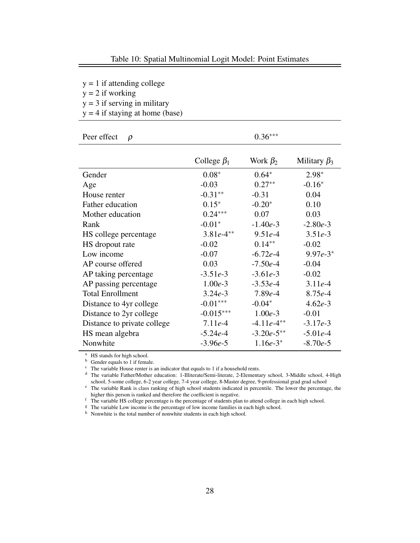<span id="page-27-0"></span> $y = 1$  if attending college

 $y = 2$  if working

 $y = 3$  if serving in military

 $y = 4$  if staying at home (base)

| Peer effect<br>$\rho$       |                   | $0.36***$      |                    |
|-----------------------------|-------------------|----------------|--------------------|
|                             | College $\beta_1$ | Work $\beta_2$ | Military $\beta_3$ |
| Gender                      | $0.08*$           | $0.64*$        | $2.98*$            |
| Age                         | $-0.03$           | $0.27**$       | $-0.16*$           |
| House renter                | $-0.31**$         | $-0.31$        | 0.04               |
| Father education            | $0.15*$           | $-0.20*$       | 0.10               |
| Mother education            | $0.24***$         | 0.07           | 0.03               |
| Rank                        | $-0.01*$          | $-1.40e-3$     | $-2.80e-3$         |
| HS college percentage       | $3.81e-4**$       | $9.51e-4$      | $3.51e-3$          |
| HS dropout rate             | $-0.02$           | $0.14***$      | $-0.02$            |
| Low income                  | $-0.07$           | $-6.72e-4$     | $9.97e-3*$         |
| AP course offered           | 0.03              | $-7.50e-4$     | $-0.04$            |
| AP taking percentage        | $-3.51e-3$        | $-3.61e-3$     | $-0.02$            |
| AP passing percentage       | $1.00e-3$         | $-3.53e-4$     | $3.11e-4$          |
| <b>Total Enrollment</b>     | $3.24e-3$         | $7.89e-4$      | $8.75e-4$          |
| Distance to 4yr college     | $-0.01***$        | $-0.04*$       | $4.62e-3$          |
| Distance to 2yr college     | $-0.015***$       | $1.00e-3$      | $-0.01$            |
| Distance to private college | $7.11e-4$         | $-4.11e-4**$   | $-3.17e-3$         |
| HS mean algebra             | $-5.24e-4$        | $-3.20e-5**$   | $-5.01e-4$         |
| Nonwhite                    | $-3.96e-5$        | $1.16e-3*$     | $-8.70e-5$         |

<sup>a</sup> HS stands for high school.

 $\overrightarrow{b}$  Gender equals to 1 if female.

 $\overrightarrow{c}$  The variable House renter is an indicator that equals to 1 if a household rents.

<sup>d</sup> The variable Father/Mother education: 1-Illiterate/Semi-literate, 2-Elementary school, 3-Middle school, 4-High school, 5-some college, 6-2 year college, 7-4 year college, 8-Master degree, 9-professional grad grad school

<sup>e</sup> The variable Rank is class ranking of high school students indicated in percentile. The lower the percentage, the higher this person is ranked and therefore the coefficient is negative.

f The variable HS college percentage is the percentage of students plan to attend college in each high school.

<sup>g</sup> The variable Low income is the percentage of low income families in each high school.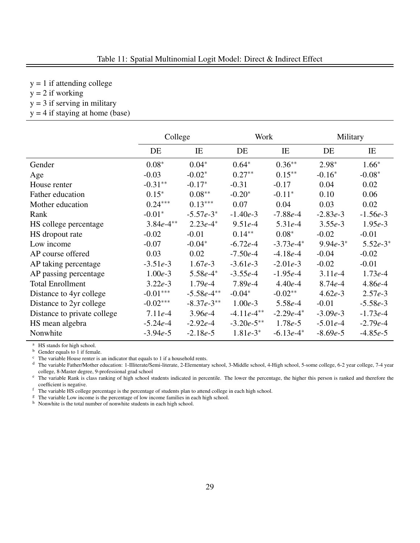<span id="page-28-0"></span> $y = 1$  if attending college

 $y = 2$  if working

- $y = 3$  if serving in military
- $y = 4$  if staying at home (base)

|                             | College     |              | Work         |             | Military   |            |
|-----------------------------|-------------|--------------|--------------|-------------|------------|------------|
|                             | DE          | IE           | DE           | IE          | DE         | IE         |
| Gender                      | $0.08*$     | $0.04*$      | $0.64*$      | $0.36**$    | $2.98*$    | $1.66*$    |
| Age                         | $-0.03$     | $-0.02*$     | $0.27**$     | $0.15***$   | $-0.16*$   | $-0.08*$   |
| House renter                | $-0.31**$   | $-0.17*$     | $-0.31$      | $-0.17$     | 0.04       | 0.02       |
| Father education            | $0.15*$     | $0.08**$     | $-0.20*$     | $-0.11*$    | 0.10       | 0.06       |
| Mother education            | $0.24***$   | $0.13***$    | 0.07         | 0.04        | 0.03       | 0.02       |
| Rank                        | $-0.01*$    | $-5.57e-3*$  | $-1.40e-3$   | $-7.88e-4$  | $-2.83e-3$ | $-1.56e-3$ |
| HS college percentage       | $3.84e-4**$ | $2.23e-4*$   | $9.51e-4$    | $5.31e-4$   | $3.55e-3$  | $1.95e-3$  |
| HS dropout rate             | $-0.02$     | $-0.01$      | $0.14**$     | $0.08*$     | $-0.02$    | $-0.01$    |
| Low income                  | $-0.07$     | $-0.04*$     | $-6.72e-4$   | $-3.73e-4*$ | $9.94e-3*$ | $5.52e-3*$ |
| AP course offered           | 0.03        | 0.02         | $-7.50e-4$   | $-4.18e-4$  | $-0.04$    | $-0.02$    |
| AP taking percentage        | $-3.51e-3$  | $1.67e-3$    | $-3.61e-3$   | $-2.01e-3$  | $-0.02$    | $-0.01$    |
| AP passing percentage       | $1.00e-3$   | $5.58e-4*$   | $-3.55e-4$   | $-1.95e-4$  | $3.11e-4$  | $1.73e-4$  |
| <b>Total Enrollment</b>     | $3.22e-3$   | $1.79e-4$    | $7.89e-4$    | $4.40e-4$   | $8.74e-4$  | $4.86e-4$  |
| Distance to 4yr college     | $-0.01***$  | $-5.58e-4**$ | $-0.04*$     | $-0.02**$   | $4.62e-3$  | $2.57e-3$  |
| Distance to 2yr college     | $-0.02***$  | $-8.37e-3**$ | $1.00e-3$    | $5.58e-4$   | $-0.01$    | $-5.58e-3$ |
| Distance to private college | $7.11e-4$   | $3.96e-4$    | $-4.11e-4**$ | $-2.29e-4*$ | $-3.09e-3$ | $-1.73e-4$ |
| HS mean algebra             | $-5.24e-4$  | $-2.92e-4$   | $-3.20e-5**$ | $1.78e-5$   | $-5.01e-4$ | $-2.79e-4$ |
| Nonwhite                    | $-3.94e-5$  | $-2.18e-5$   | $1.81e-3*$   | $-6.13e-4*$ | $-8.69e-5$ | $-4.85e-5$ |

<sup>a</sup> HS stands for high school.<br><sup>b</sup> Gender equals to 1 if fema

Gender equals to 1 if female.

 $\epsilon$  The variable House renter is an indicator that equals to 1 if a household rents.

<sup>d</sup> The variable Father/Mother education: 1-Illiterate/Semi-literate, 2-Elementary school, 3-Middle school, 4-High school, 5-some college, 6-2 year college, 7-4 year college, 8-Master degree, 9-professional grad school

<sup>e</sup> The variable Rank is class ranking of high school students indicated in percentile. The lower the percentage, the higher this person is ranked and therefore the coefficient is negative.

f The variable HS college percentage is the percentage of students plan to attend college in each high school.

<sup>g</sup> The variable Low income is the percentage of low income families in each high school.